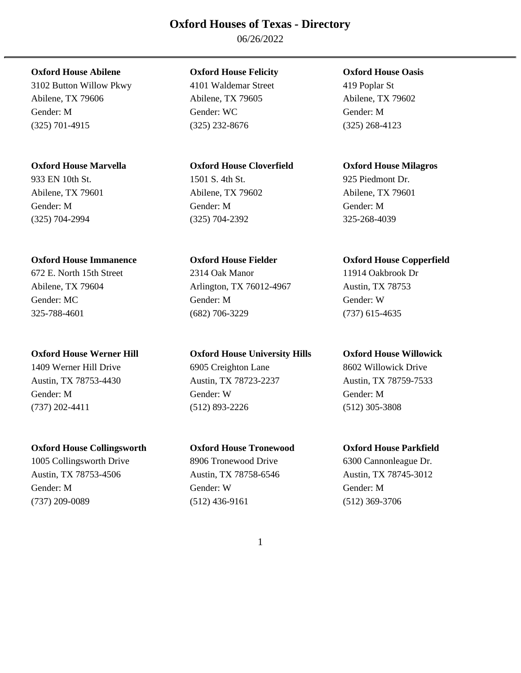06/26/2022

3102 Button Willow Pkwy 4101 Waldemar Street 419 Poplar St Abilene, TX 79606 Abilene, TX 79605 Abilene, TX 79602 Gender: M Gender: WC Gender: M (325) 701-4915 (325) 232-8676 (325) 268-4123

### **Oxford House Marvella Oxford House Cloverfield Oxford House Milagros**

933 EN 10th St. 1501 S. 4th St. 925 Piedmont Dr. Abilene, TX 79601 Abilene, TX 79602 Abilene, TX 79601 Gender: M Gender: M Gender: M (325) 704-2994 (325) 704-2392 325-268-4039

### **Oxford House Immanence Oxford House Fielder Oxford House Copperfield**

325-788-4601 (682) 706-3229 (737) 615-4635

### **Oxford House Werner Hill Oxford House University Hills Oxford House Willowick**

### **Oxford House Collingsworth Oxford House Tronewood Oxford House Parkfield**

1005 Collingsworth Drive 8906 Tronewood Drive 6300 Cannonleague Dr. Austin, TX 78753-4506 Austin, TX 78758-6546 Austin, TX 78745-3012 Gender: M Gender: W Gender: M (737) 209-0089 (512) 436-9161 (512) 369-3706

### **Oxford House Abilene Oxford House Felicity Oxford House Oasis**

# 672 E. North 15th Street 2314 Oak Manor 11914 Oakbrook Dr Abilene, TX 79604 Arlington, TX 76012-4967 Austin, TX 78753 Gender: MC Gender: M Gender: W

1409 Werner Hill Drive 6905 Creighton Lane 8602 Willowick Drive Austin, TX 78753-4430 Austin, TX 78723-2237 Austin, TX 78759-7533 Gender: M Gender: W Gender: M (737) 202-4411 (512) 893-2226 (512) 305-3808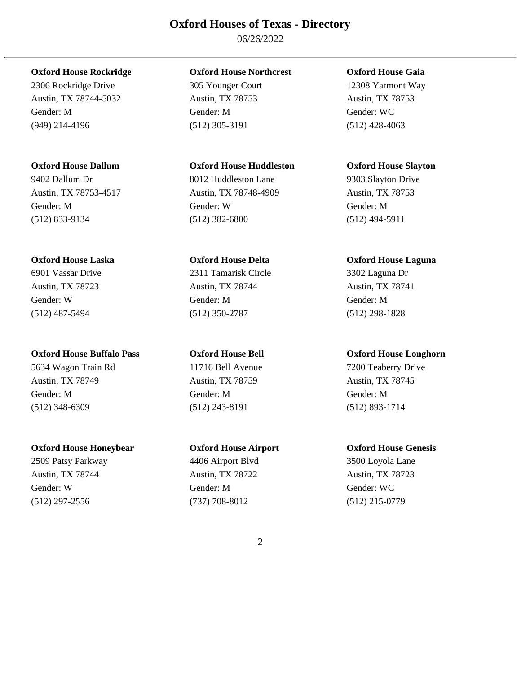06/26/2022

2306 Rockridge Drive 305 Younger Court 12308 Yarmont Way Austin, TX 78744-5032 Austin, TX 78753 Austin, TX 78753 Gender: M Gender: M Gender: WC (949) 214-4196 (512) 305-3191 (512) 428-4063

### **Oxford House Dallum Oxford House Huddleston Oxford House Slayton**

Austin, TX 78753-4517 Austin, TX 78748-4909 Austin, TX 78753 Gender: M Gender: W Gender: M (512) 833-9134 (512) 382-6800 (512) 494-5911

### **Oxford House Laska Oxford House Delta Oxford House Laguna**

(512) 487-5494 (512) 350-2787 (512) 298-1828

### **Oxford House Buffalo Pass Oxford House Bell Oxford House Longhorn**

5634 Wagon Train Rd 11716 Bell Avenue 7200 Teaberry Drive Austin, TX 78749 Austin, TX 78759 Austin, TX 78745 Gender: M Gender: M Gender: M (512) 348-6309 (512) 243-8191 (512) 893-1714

### **Oxford House Honeybear Oxford House Airport Oxford House Genesis**

2509 Patsy Parkway 4406 Airport Blvd 3500 Loyola Lane Austin, TX 78744 Austin, TX 78722 Austin, TX 78723 Gender: W Gender: M Gender: WC (512) 297-2556 (737) 708-8012 (512) 215-0779

### **Oxford House Rockridge Oxford House Northcrest Oxford House Gaia**

# 9402 Dallum Dr 8012 Huddleston Lane 9303 Slayton Drive

# 6901 Vassar Drive 2311 Tamarisk Circle 3302 Laguna Dr Austin, TX 78723 Austin, TX 78744 Austin, TX 78741 Gender: W Gender: M Gender: M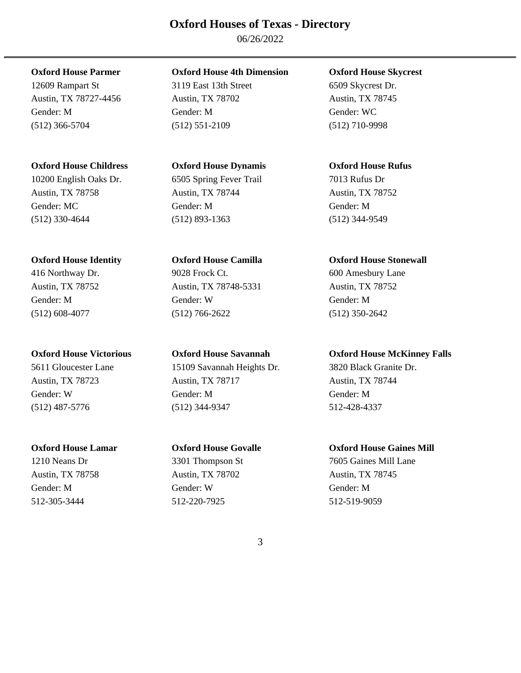06/26/2022

Austin, TX 78727-4456 Austin, TX 78702 Austin, TX 78745 Gender: M Gender: M Gender: WC (512) 366-5704 (512) 551-2109 (512) 710-9998

### **Oxford House Childress Oxford House Dynamis Oxford House Rufus**

10200 English Oaks Dr. 6505 Spring Fever Trail 7013 Rufus Dr Austin, TX 78758 Austin, TX 78744 Austin, TX 78752 Gender: MC Gender: M Gender: M (512) 330-4644 (512) 893-1363 (512) 344-9549

### **Oxford House Parmer Oxford House 4th Dimension Oxford House Skycrest**

12609 Rampart St 3119 East 13th Street 6509 Skycrest Dr.

### **Oxford House Identity Oxford House Camilla Oxford House Stonewall**

Austin, TX 78752 Austin, TX 78748-5331 Austin, TX 78752 Gender: M Gender: W Gender: M (512) 608-4077 (512) 766-2622 (512) 350-2642

5611 Gloucester Lane 15109 Savannah Heights Dr. 3820 Black Granite Dr. Austin, TX 78723 Austin, TX 78717 Austin, TX 78744 Gender: W Gender: M Gender: M (512) 487-5776 (512) 344-9347 512-428-4337

Austin, TX 78758 Austin, TX 78702 Austin, TX 78745 Gender: M Gender: W Gender: M 512-305-3444 512-220-7925 512-519-9059

416 Northway Dr. 9028 Frock Ct. 600 Amesbury Lane

### **Oxford House Victorious Oxford House Savannah Oxford House McKinney Falls**

### **Oxford House Lamar Oxford House Govalle Oxford House Gaines Mill**

1210 Neans Dr 3301 Thompson St 7605 Gaines Mill Lane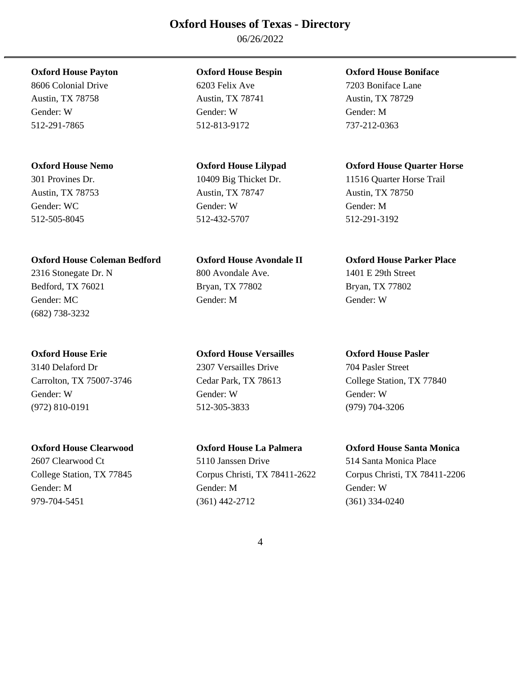06/26/2022

Austin, TX 78758 Austin, TX 78741 Austin, TX 78729 Gender: W Gender: W Gender: M 512-291-7865 512-813-9172 737-212-0363

### **Oxford House Coleman Bedford Oxford House Avondale II Oxford House Parker Place**

(682) 738-3232

3140 Delaford Dr 2307 Versailles Drive 704 Pasler Street Carrolton, TX 75007-3746 Cedar Park, TX 78613 College Station, TX 77840 Gender: W Gender: W Gender: W (972) 810-0191 512-305-3833 (979) 704-3206

Austin, TX 78753 Austin, TX 78747 Austin, TX 78750 Gender: WC Gender: W Gender: M 512-505-8045 512-432-5707 512-291-3192

2316 Stonegate Dr. N 800 Avondale Ave. 1401 E 29th Street Bedford, TX 76021 Bryan, TX 77802 Bryan, TX 77802 Gender: MC Gender: M Gender: W

### **Oxford House Erie Oxford House Versailles Oxford House Pasler**

2607 Clearwood Ct 5110 Janssen Drive 514 Santa Monica Place College Station, TX 77845 Corpus Christi, TX 78411-2622 Corpus Christi, TX 78411-2206 Gender: M Gender: M Gender: W 979-704-5451 (361) 442-2712 (361) 334-0240

### **Oxford House Payton Oxford House Bespin Oxford House Boniface**

8606 Colonial Drive 6203 Felix Ave 7203 Boniface Lane

### **Oxford House Nemo Oxford House Lilypad Oxford House Quarter Horse**

301 Provines Dr. 10409 Big Thicket Dr. 11516 Quarter Horse Trail

### **Oxford House Clearwood Oxford House La Palmera Oxford House Santa Monica**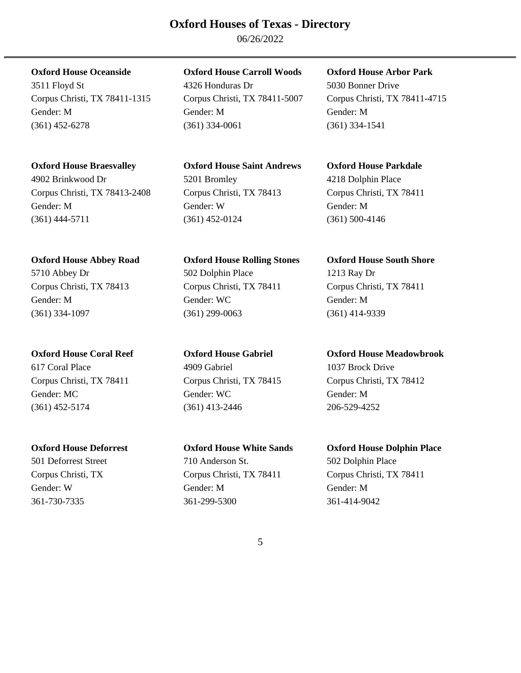06/26/2022

3511 Floyd St 4326 Honduras Dr 5030 Bonner Drive

**Oxford House Braesvalley Oxford House Saint Andrews Oxford House Parkdale** 

4902 Brinkwood Dr 5201 Bromley 4218 Dolphin Place Corpus Christi, TX 78413-2408 Corpus Christi, TX 78413 Corpus Christi, TX 78411 Gender: M Gender: W Gender: M (361) 444-5711 (361) 452-0124 (361) 500-4146

617 Coral Place 4909 Gabriel 1037 Brock Drive Corpus Christi, TX 78411 Corpus Christi, TX 78415 Corpus Christi, TX 78412 Gender: MC Gender: WC Gender: WC Gender: M (361) 452-5174 (361) 413-2446 206-529-4252

501 Deforrest Street 710 Anderson St. 502 Dolphin Place

**Oxford House Oceanside Oxford House Carroll Woods Oxford House Arbor Park** 

Corpus Christi, TX 78411-1315 Corpus Christi, TX 78411-5007 Corpus Christi, TX 78411-4715 Gender: M Gender: M Gender: M (361) 452-6278 (361) 334-0061 (361) 334-1541

**Oxford House Abbey Road Oxford House Rolling Stones Oxford House South Shore**  5710 Abbey Dr 502 Dolphin Place 1213 Ray Dr Corpus Christi, TX 78413 Corpus Christi, TX 78411 Corpus Christi, TX 78411 Gender: M Gender: WC Gender: M (361) 334-1097 (361) 299-0063 (361) 414-9339

Corpus Christi, TX Corpus Christi, TX 78411 Corpus Christi, TX 78411 Gender: W Gender: M Gender: M 361-730-7335 361-299-5300 361-414-9042

**Oxford House Coral Reef Oxford House Gabriel Oxford House Meadowbrook** 

**Oxford House Deforrest Oxford House White Sands Oxford House Dolphin Place**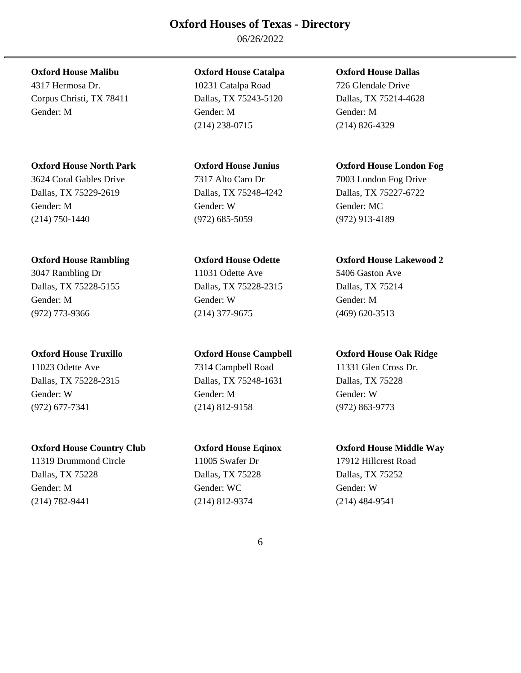06/26/2022

4317 Hermosa Dr. 10231 Catalpa Road 726 Glendale Drive Corpus Christi, TX 78411 Dallas, TX 75243-5120 Dallas, TX 75214-4628 Gender: M Gender: M Gender: M

3624 Coral Gables Drive 7317 Alto Caro Dr 7003 London Fog Drive Dallas, TX 75229-2619 Dallas, TX 75248-4242 Dallas, TX 75227-6722 Gender: M Gender: W Gender: MC (214) 750-1440 (972) 685-5059 (972) 913-4189

(972) 773-9366 (214) 377-9675 (469) 620-3513

11023 Odette Ave 7314 Campbell Road 11331 Glen Cross Dr. Dallas, TX 75228-2315 Dallas, TX 75248-1631 Dallas, TX 75228 Gender: W Gender: M Gender: W (972) 677-7341 (214) 812-9158 (972) 863-9773

### **Oxford House Country Club Oxford House Eqinox Oxford House Middle Way**

11319 Drummond Circle 11005 Swafer Dr 17912 Hillcrest Road Dallas, TX 75228 Dallas, TX 75228 Dallas, TX 75252 Gender: M Gender: WC Gender: WC Gender: W (214) 782-9441 (214) 812-9374 (214) 484-9541

### **Oxford House Malibu Oxford House Catalpa Oxford House Dallas**

(214) 238-0715 (214) 826-4329

# 3047 Rambling Dr 11031 Odette Ave 5406 Gaston Ave Dallas, TX 75228-5155 Dallas, TX 75228-2315 Dallas, TX 75214 Gender: M Gender: W Gender: M

### **Oxford House North Park Oxford House Junius Oxford House London Fog**

### **Oxford House Rambling Oxford House Odette Oxford House Lakewood 2**

### **Oxford House Truxillo Oxford House Campbell Oxford House Oak Ridge**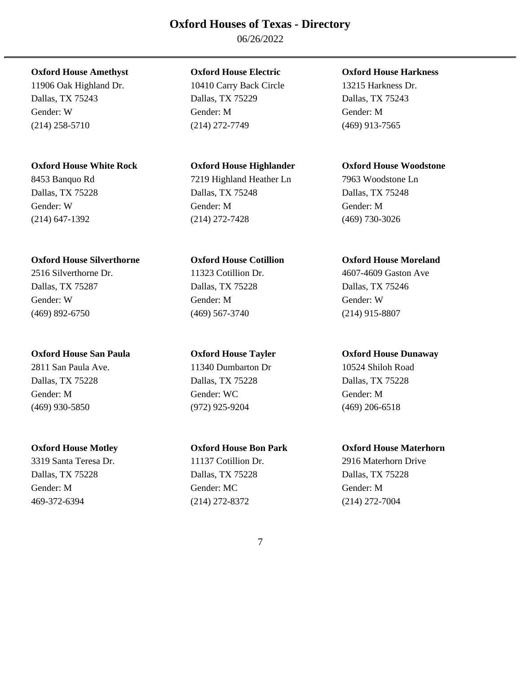06/26/2022

### **Oxford House White Rock Oxford House Highlander Oxford House Woodstone**

### **Oxford House Silverthorne Oxford House Cotillion Oxford House Moreland**

Dallas, TX 75287 Dallas, TX 75228 Dallas, TX 75246 Gender: W Gender: M Gender: W (469) 892-6750 (469) 567-3740 (214) 915-8807

### **Oxford House San Paula Oxford House Tayler Oxford House Dunaway**

Dallas, TX 75228 Dallas, TX 75228 Dallas, TX 75228 Gender: M Gender: MC Gender: M 469-372-6394 (214) 272-8372 (214) 272-7004

11906 Oak Highland Dr. 10410 Carry Back Circle 13215 Harkness Dr. Dallas, TX 75243 Dallas, TX 75229 Dallas, TX 75243 Gender: W Gender: M Gender: M (214) 258-5710 (214) 272-7749 (469) 913-7565

8453 Banquo Rd 7219 Highland Heather Ln 7963 Woodstone Ln Dallas, TX 75228 Dallas, TX 75248 Dallas, TX 75248 Gender: W Gender: M Gender: M (214) 647-1392 (214) 272-7428 (469) 730-3026

2516 Silverthorne Dr. 11323 Cotillion Dr. 4607-4609 Gaston Ave

2811 San Paula Ave. 11340 Dumbarton Dr 10524 Shiloh Road Dallas, TX 75228 Dallas, TX 75228 Dallas, TX 75228 Gender: M Gender: WC Gender: M (469) 930-5850 (972) 925-9204 (469) 206-6518

### **Oxford House Amethyst Oxford House Electric Oxford House Harkness**

### **Oxford House Motley Oxford House Bon Park Oxford House Materhorn**

3319 Santa Teresa Dr. 11137 Cotillion Dr. 2916 Materhorn Drive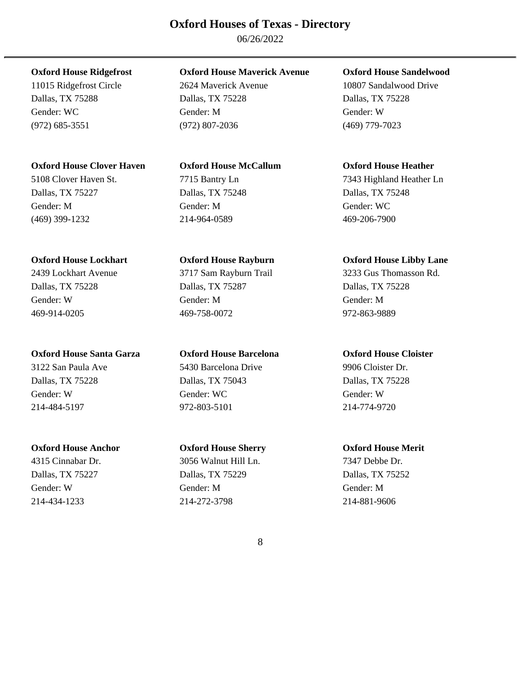06/26/2022

### **Oxford House Clover Haven Oxford House McCallum Oxford House Heather**

5108 Clover Haven St. 2715 Bantry Ln 7343 Highland Heather Ln Dallas, TX 75227 Dallas, TX 75248 Dallas, TX 75248 Gender: M Gender: M Gender: WC (469) 399-1232 214-964-0589 469-206-7900

Dallas, TX 75228 Dallas, TX 75287 Dallas, TX 75228 Gender: W Gender: M Gender: M 469-914-0205 469-758-0072 972-863-9889

### **Oxford House Santa Garza Oxford House Barcelona Oxford House Cloister**

### **Oxford House Anchor Oxford House Sherry Oxford House Merit**

### **Oxford House Ridgefrost Oxford House Maverick Avenue Oxford House Sandelwood**

11015 Ridgefrost Circle 2624 Maverick Avenue 10807 Sandalwood Drive Dallas, TX 75288 Dallas, TX 75228 Dallas, TX 75228 Gender: WC Gender: M Gender: M Gender: W Gender: W (972) 685-3551 (972) 807-2036 (469) 779-7023

3122 San Paula Ave 5430 Barcelona Drive 9906 Cloister Dr. Dallas, TX 75228 Dallas, TX 75043 Dallas, TX 75228 Gender: W Gender: WC Gender: W 214-484-5197 972-803-5101 214-774-9720

4315 Cinnabar Dr. 3056 Walnut Hill Ln. 7347 Debbe Dr. Dallas, TX 75227 Dallas, TX 75229 Dallas, TX 75252 Gender: W Gender: M Gender: M 214-434-1233 214-272-3798 214-881-9606

### **Oxford House Lockhart Oxford House Rayburn Oxford House Libby Lane**

2439 Lockhart Avenue 3717 Sam Rayburn Trail 3233 Gus Thomasson Rd.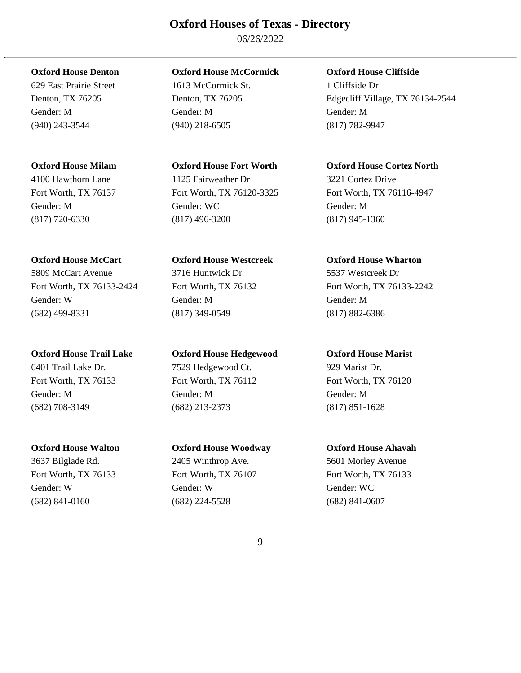06/26/2022

### **Oxford House McCart Oxford House Westcreek Oxford House Wharton**

5809 McCart Avenue 3716 Huntwick Dr 5537 Westcreek Dr Gender: W Gender: M Gender: M (682) 499-8331 (817) 349-0549 (817) 882-6386

### **Oxford House Denton Oxford House McCormick Oxford House Cliffside**

629 East Prairie Street 1613 McCormick St. 1 Cliffside Dr Gender: M Gender: M Gender: M (940) 243-3544 (940) 218-6505 (817) 782-9947

# 4100 Hawthorn Lane 1125 Fairweather Dr 3221 Cortez Drive

Gender: M Gender: WC Gender: M (817) 720-6330 (817) 496-3200 (817) 945-1360

### **Oxford House Trail Lake Oxford House Hedgewood Oxford House Marist**

6401 Trail Lake Dr. 7529 Hedgewood Ct. 929 Marist Dr. Fort Worth, TX 76133 Fort Worth, TX 76112 Fort Worth, TX 76120 Gender: M Gender: M Gender: M (682) 708-3149 (682) 213-2373 (817) 851-1628

### **Oxford House Walton Oxford House Woodway Oxford House Ahavah**

3637 Bilglade Rd. 2405 Winthrop Ave. 5601 Morley Avenue Fort Worth, TX 76133 Fort Worth, TX 76107 Fort Worth, TX 76133 Gender: W Gender: W Gender: W Gender: W Gender: W Gender: W C (682) 841-0160 (682) 224-5528 (682) 841-0607

Denton, TX 76205 Denton, TX 76205 Edgecliff Village, TX 76134-2544

### **Oxford House Milam Oxford House Fort Worth Oxford House Cortez North**

Fort Worth, TX 76137 Fort Worth, TX 76120-3325 Fort Worth, TX 76116-4947

Fort Worth, TX 76133-2424 Fort Worth, TX 76132 Fort Worth, TX 76133-2242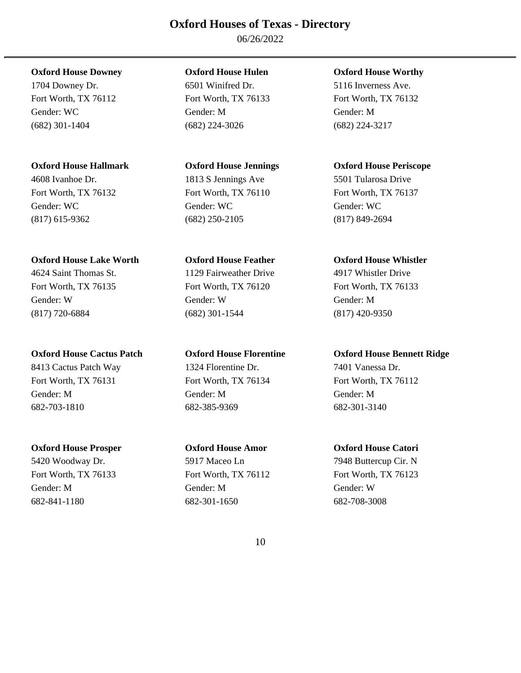06/26/2022

Fort Worth, TX 76112 Fort Worth, TX 76133 Fort Worth, TX 76132 Gender: WC Gender: M Gender: M (682) 301-1404 (682) 224-3026 (682) 224-3217

### **Oxford House Hallmark Oxford House Jennings Oxford House Periscope**

Gender: WC Gender: WC Gender: WC (817) 615-9362 (682) 250-2105 (817) 849-2694

### **Oxford House Lake Worth Oxford House Feather Oxford House Whistler**

(817) 720-6884 (682) 301-1544 (817) 420-9350

### **Oxford House Cactus Patch Oxford House Florentine Oxford House Bennett Ridge**

8413 Cactus Patch Way 1324 Florentine Dr. 7401 Vanessa Dr. Fort Worth, TX 76131 Fort Worth, TX 76134 Fort Worth, TX 76112 Gender: M Gender: M Gender: M 682-703-1810 682-385-9369 682-301-3140

### **Oxford House Prosper Oxford House Amor Oxford House Catori**

5420 Woodway Dr. 5917 Maceo Ln 7948 Buttercup Cir. N Fort Worth, TX 76133 Fort Worth, TX 76112 Fort Worth, TX 76123 Gender: M Gender: M Gender: W 682-841-1180 682-301-1650 682-708-3008

1704 Downey Dr. 6501 Winifred Dr. 5116 Inverness Ave.

# 4608 Ivanhoe Dr. 1813 S Jennings Ave 5501 Tularosa Drive Fort Worth, TX 76132 Fort Worth, TX 76110 Fort Worth, TX 76137

4624 Saint Thomas St. 1129 Fairweather Drive 4917 Whistler Drive Fort Worth, TX 76135 Fort Worth, TX 76120 Fort Worth, TX 76133 Gender: W Gender: W Gender: M

### **Oxford House Downey Oxford House Hulen Oxford House Worthy**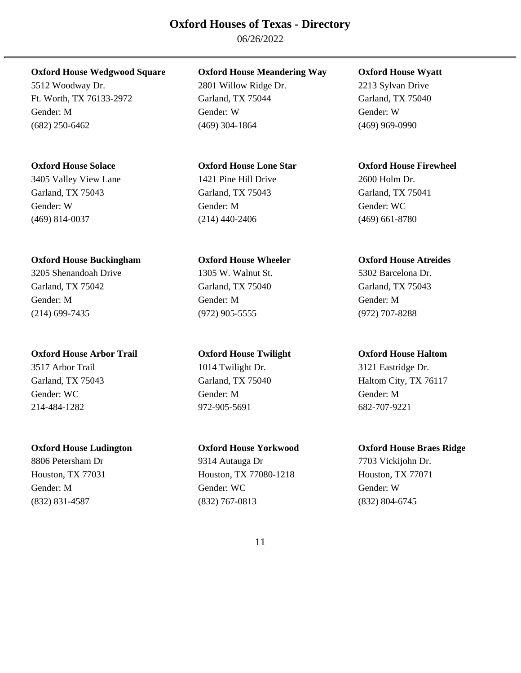06/26/2022

### **Oxford House Wedgwood Square Oxford House Meandering Way Oxford House Wyatt**

5512 Woodway Dr. 2801 Willow Ridge Dr. 2213 Sylvan Drive Ft. Worth, TX 76133-2972 Garland, TX 75044 Garland, TX 75040 Gender: M Gender: W Gender: W (682) 250-6462 (469) 304-1864 (469) 969-0990

3405 Valley View Lane 1421 Pine Hill Drive 2600 Holm Dr. Garland, TX 75043 Garland, TX 75043 Garland, TX 75041 Gender: W Gender: M Gender: WC (469) 814-0037 (214) 440-2406 (469) 661-8780

### **Oxford House Buckingham Oxford House Wheeler Oxford House Atreides**

Garland, TX 75042 Garland, TX 75040 Garland, TX 75043 Gender: M Gender: M Gender: M (214) 699-7435 (972) 905-5555 (972) 707-8288

### **Oxford House Arbor Trail Oxford House Twilight Oxford House Haltom**

3517 Arbor Trail 1014 Twilight Dr. 3121 Eastridge Dr. Gender: WC Gender: M Gender: M 214-484-1282 972-905-5691 682-707-9221

3205 Shenandoah Drive 1305 W. Walnut St. 5302 Barcelona Dr.

### **Oxford House Ludington Oxford House Yorkwood Oxford House Braes Ridge**

8806 Petersham Dr 9314 Autauga Dr 7703 Vickijohn Dr. Houston, TX 77031 Houston, TX 77080-1218 Houston, TX 77071 Gender: M Gender: WC Gender: W (832) 831-4587 (832) 767-0813 (832) 804-6745

### **Oxford House Solace Oxford House Lone Star Oxford House Firewheel**

Garland, TX 75043 Garland, TX 75040 Haltom City, TX 76117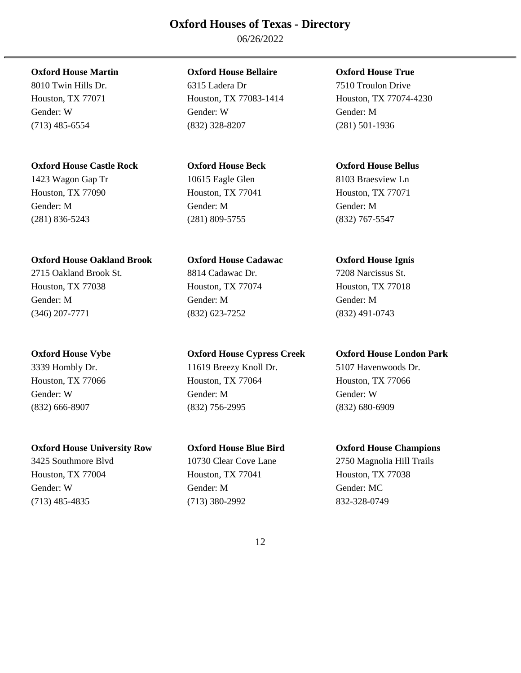06/26/2022

### **Oxford House Castle Rock Oxford House Beck Oxford House Bellus**

1423 Wagon Gap Tr 10615 Eagle Glen 8103 Braesview Ln Houston, TX 77090 Houston, TX 77041 Houston, TX 77071 Gender: M Gender: M Gender: M (281) 836-5243 (281) 809-5755 (832) 767-5547

### **Oxford House Oakland Brook Oxford House Cadawac Oxford House Ignis**

### **Oxford House University Row Oxford House Blue Bird Oxford House Champions**

### **Oxford House Martin Oxford House Bellaire Oxford House True**

8010 Twin Hills Dr. 6315 Ladera Dr 7510 Troulon Drive Houston, TX 77071 Houston, TX 77083-1414 Houston, TX 77074-4230 Gender: W Gender: W Gender: M (713) 485-6554 (832) 328-8207 (281) 501-1936

## 2715 Oakland Brook St. 8814 Cadawac Dr. 7208 Narcissus St. Houston, TX 77038 Houston, TX 77074 Houston, TX 77018 Gender: M Gender: M Gender: M (346) 207-7771 (832) 623-7252 (832) 491-0743

**Oxford House Vybe Oxford House Cypress Creek Oxford House London Park** 

3339 Hombly Dr. 11619 Breezy Knoll Dr. 5107 Havenwoods Dr. Houston, TX 77066 Houston, TX 77064 Houston, TX 77066 Gender: W Gender: M Gender: W (832) 666-8907 (832) 756-2995 (832) 680-6909

Houston, TX 77004 Houston, TX 77041 Houston, TX 77038 Gender: W Gender: M Gender: MC (713) 485-4835 (713) 380-2992 832-328-0749

3425 Southmore Blvd 10730 Clear Cove Lane 2750 Magnolia Hill Trails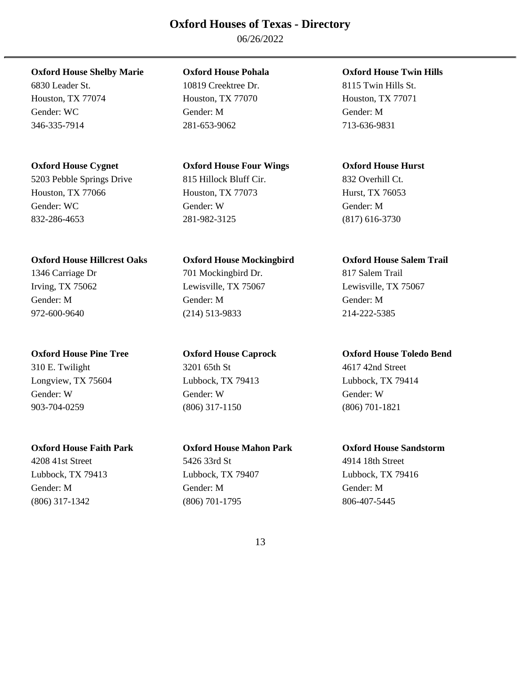06/26/2022

### **Oxford House Shelby Marie Oxford House Pohala Oxford House Twin Hills**

Houston, TX 77074 Houston, TX 77070 Houston, TX 77071 Gender: WC Gender: M Gender: M 346-335-7914 281-653-9062 713-636-9831

### **Oxford House Cygnet Oxford House Four Wings Oxford House Hurst**

832-286-4653 281-982-3125 (817) 616-3730

### **Oxford House Hillcrest Oaks Oxford House Mockingbird Oxford House Salem Trail**

Longview, TX 75604 Lubbock, TX 79413 Lubbock, TX 79414 Gender: W Gender: W Gender: W 903-704-0259 (806) 317-1150 (806) 701-1821

# 5203 Pebble Springs Drive 815 Hillock Bluff Cir. 832 Overhill Ct. Houston, TX 77066 Houston, TX 77073 Hurst, TX 76053 Gender: WC Gender: W Gender: M

1346 Carriage Dr 701 Mockingbird Dr. 817 Salem Trail Irving, TX 75062 Lewisville, TX 75067 Lewisville, TX 75067 Gender: M Gender: M Gender: M 972-600-9640 (214) 513-9833 214-222-5385

# 310 E. Twilight 3201 65th St 4617 42nd Street

### **Oxford House Faith Park Oxford House Mahon Park Oxford House Sandstorm**

4208 41st Street 5426 33rd St 4914 18th Street Lubbock, TX 79413 Lubbock, TX 79407 Lubbock, TX 79416 Gender: M Gender: M Gender: M (806) 317-1342 (806) 701-1795 806-407-5445

6830 Leader St. 10819 Creektree Dr. 8115 Twin Hills St.

### **Oxford House Pine Tree Oxford House Caprock Oxford House Toledo Bend**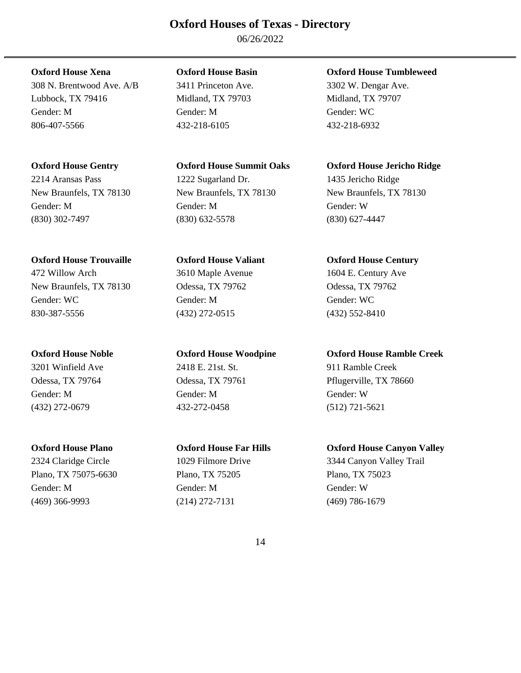06/26/2022

308 N. Brentwood Ave. A/B 3411 Princeton Ave. 3302 W. Dengar Ave. Lubbock, TX 79416 Midland, TX 79703 Midland, TX 79707 Gender: M Gender: M Gender: WC 806-407-5566 432-218-6105 432-218-6932

2214 Aransas Pass 1222 Sugarland Dr. 1435 Jericho Ridge Gender: M Gender: M Gender: W (830) 302-7497 (830) 632-5578 (830) 627-4447

### **Oxford House Trouvaille Oxford House Valiant Oxford House Century**

472 Willow Arch 3610 Maple Avenue 1604 E. Century Ave New Braunfels, TX 78130 Odessa, TX 79762 Odessa, TX 79762 Gender: WC Gender: M Gender: WC Gender: WC Gender: WC Gender: WC Gender: WC Gender: WC Gender: WC Gender: WC Gender: WC Gender: WC Gender: WC Gender: WC Gender: WC Gender: WC Gender: WC Gender: WC Gender: WC Gender: WC Gen 830-387-5556 (432) 272-0515 (432) 552-8410

3201 Winfield Ave 2418 E. 21st. St. 911 Ramble Creek Gender: M Gender: M Gender: W (432) 272-0679 432-272-0458 (512) 721-5621

Plano, TX 75075-6630 Plano, TX 75205 Plano, TX 75023 Gender: M Gender: M Gender: W (469) 366-9993 (214) 272-7131 (469) 786-1679

### **Oxford House Xena Oxford House Basin Oxford House Tumbleweed**

### **Oxford House Gentry Oxford House Summit Oaks Oxford House Jericho Ridge**

New Braunfels, TX 78130 New Braunfels, TX 78130 New Braunfels, TX 78130

### **Oxford House Noble Oxford House Woodpine Oxford House Ramble Creek**

Odessa, TX 79764 Odessa, TX 79761 Pflugerville, TX 78660

### **Oxford House Plano Oxford House Far Hills Oxford House Canyon Valley**

2324 Claridge Circle 1029 Filmore Drive 3344 Canyon Valley Trail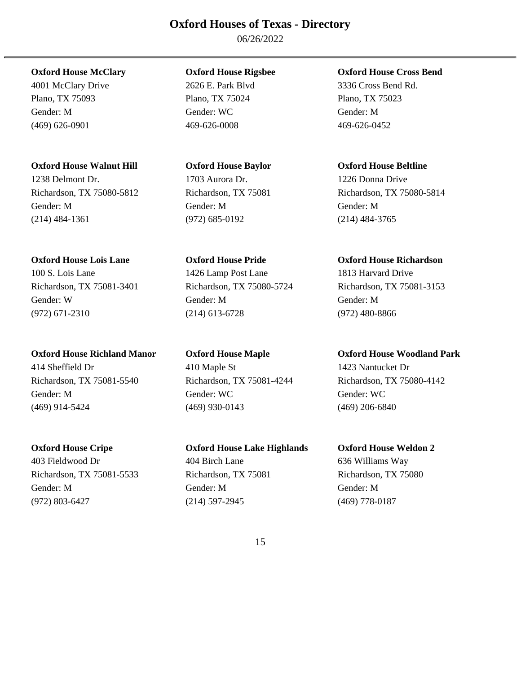06/26/2022

Plano, TX 75093 Plano, TX 75024 Plano, TX 75023 Gender: M Gender: WC Gender: M (469) 626-0901 469-626-0008 469-626-0452

### **Oxford House Walnut Hill Oxford House Baylor Oxford House Beltline**

1238 Delmont Dr. 1703 Aurora Dr. 1226 Donna Drive Gender: M Gender: M Gender: M (214) 484-1361 (972) 685-0192 (214) 484-3765

Richardson, TX 75081-3401 Richardson, TX 75080-5724 Richardson, TX 75081-3153 Gender: W Gender: M Gender: M (972) 671-2310 (214) 613-6728 (972) 480-8866

### **Oxford House Richland Manor Oxford House Maple Oxford House Woodland Park**

414 Sheffield Dr 410 Maple St 1423 Nantucket Dr Richardson, TX 75081-5540 Richardson, TX 75081-4244 Richardson, TX 75080-4142 Gender: M Gender: WC Gender: WC (469) 914-5424 (469) 930-0143 (469) 206-6840

**Oxford House Lois Lane Oxford House Pride Oxford House Richardson**  100 S. Lois Lane 1426 Lamp Post Lane 1813 Harvard Drive

### **Oxford House Cripe Oxford House Lake Highlands Oxford House Weldon 2**  403 Fieldwood Dr 404 Birch Lane 636 Williams Way Richardson, TX 75081-5533 Richardson, TX 75081 Richardson, TX 75080 Gender: M Gender: M Gender: M (972) 803-6427 (214) 597-2945 (469) 778-0187

### **Oxford House McClary Oxford House Rigsbee Oxford House Cross Bend**

4001 McClary Drive 2626 E. Park Blvd 3336 Cross Bend Rd.

Richardson, TX 75080-5812 Richardson, TX 75081 Richardson, TX 75080-5814

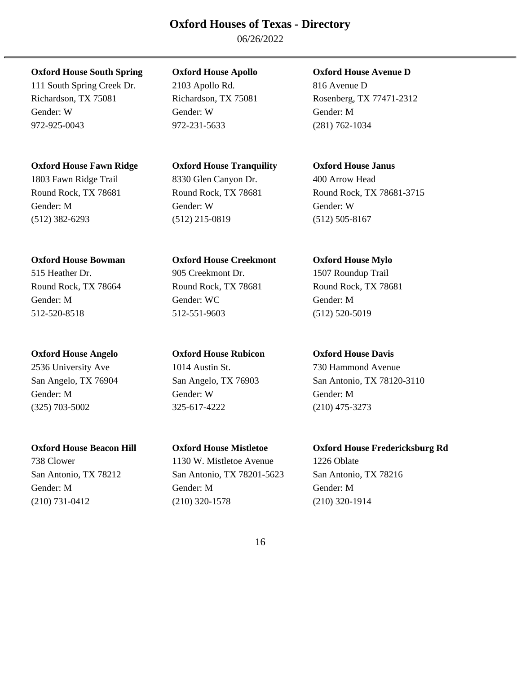06/26/2022

### **Oxford House South Spring Oxford House Apollo Oxford House Avenue D**

111 South Spring Creek Dr. 2103 Apollo Rd. 816 Avenue D Gender: W Gender: W Gender: M 972-925-0043 972-231-5633 (281) 762-1034

### **Oxford House Fawn Ridge Oxford House Tranquility Oxford House Janus**

1803 Fawn Ridge Trail 8330 Glen Canyon Dr. 400 Arrow Head Gender: M Gender: W Gender: W (512) 382-6293 (512) 215-0819 (512) 505-8167

### **Oxford House Bowman Oxford House Creekmont Oxford House Mylo**

512-520-8518 512-551-9603 (512) 520-5019

Gender: M Gender: W Gender: M (325) 703-5002 325-617-4222 (210) 475-3273

738 Clower 1130 W. Mistletoe Avenue 1226 Oblate

# 515 Heather Dr. 905 Creekmont Dr. 1507 Roundup Trail Round Rock, TX 78664 Round Rock, TX 78681 Round Rock, TX 78681 Gender: M Gender: WC Gender: M

**Oxford House Angelo Oxford House Rubicon Oxford House Davis** 

San Antonio, TX 78212 San Antonio, TX 78201-5623 San Antonio, TX 78216 Gender: M Gender: M Gender: M (210) 731-0412 (210) 320-1578 (210) 320-1914

Richardson, TX 75081 Richardson, TX 75081 Rosenberg, TX 77471-2312

Round Rock, TX 78681 Round Rock, TX 78681 Round Rock, TX 78681-3715

2536 University Ave 1014 Austin St. 730 Hammond Avenue San Angelo, TX 76904 San Angelo, TX 76903 San Antonio, TX 78120-3110

### **Oxford House Beacon Hill Oxford House Mistletoe Oxford House Fredericksburg Rd**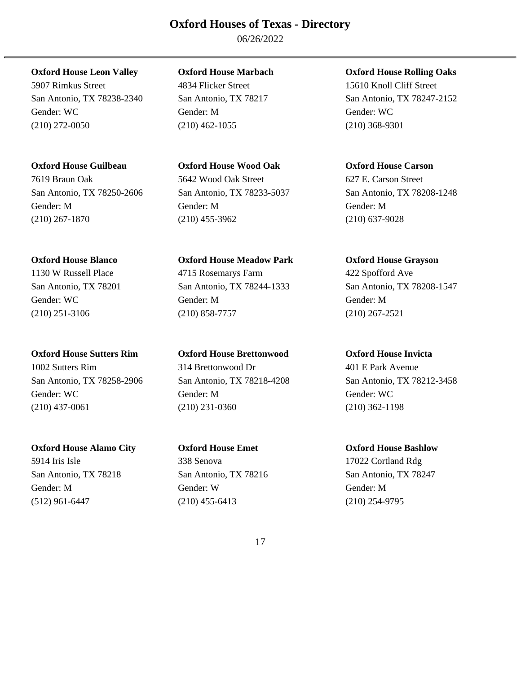06/26/2022

5907 Rimkus Street 4834 Flicker Street 15610 Knoll Cliff Street Gender: WC Gender: M Gender: M Gender: WC Gender: WC (210) 272-0050 (210) 462-1055 (210) 368-9301

### **Oxford House Guilbeau Oxford House Wood Oak Oxford House Carson**

Gender: M Gender: M Gender: M (210) 267-1870 (210) 455-3962 (210) 637-9028

### **Oxford House Sutters Rim Oxford House Brettonwood Oxford House Invicta**

1002 Sutters Rim 314 Brettonwood Dr 401 E Park Avenue Gender: WC Gender: M Gender: M Gender: WC Gender: WC (210) 437-0061 (210) 231-0360 (210) 362-1198

### **Oxford House Alamo City Oxford House Emet Oxford House Bashlow**

5914 Iris Isle 338 Senova 17022 Cortland Rdg San Antonio, TX 78218 San Antonio, TX 78216 San Antonio, TX 78247 Gender: M Gender: W Gender: M (512) 961-6447 (210) 455-6413 (210) 254-9795

# 7619 Braun Oak 5642 Wood Oak Street 627 E. Carson Street

**Oxford House Blanco Oxford House Meadow Park Oxford House Grayson**  1130 W Russell Place 4715 Rosemarys Farm 422 Spofford Ave San Antonio, TX 78201 San Antonio, TX 78244-1333 San Antonio, TX 78208-1547 Gender: WC Gender: M Gender: M Gender: M (210) 251-3106 (210) 858-7757 (210) 267-2521

### **Oxford House Leon Valley Oxford House Marbach Oxford House Rolling Oaks**

San Antonio, TX 78238-2340 San Antonio, TX 78217 San Antonio, TX 78247-2152

San Antonio, TX 78250-2606 San Antonio, TX 78233-5037 San Antonio, TX 78208-1248

San Antonio, TX 78258-2906 San Antonio, TX 78218-4208 San Antonio, TX 78212-3458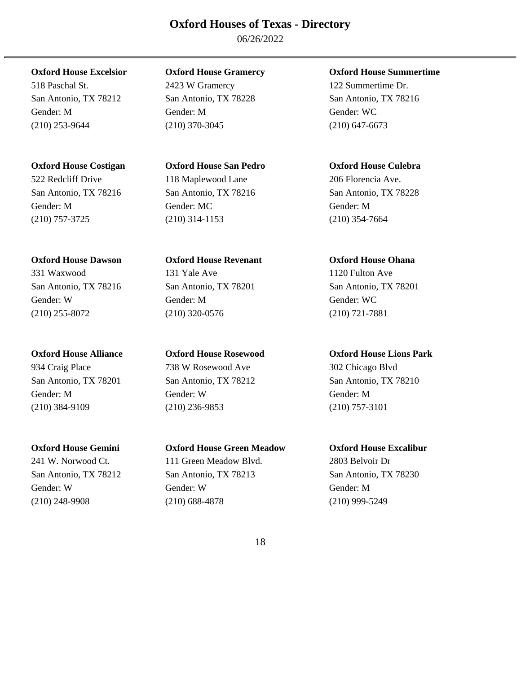06/26/2022

522 Redcliff Drive 118 Maplewood Lane 206 Florencia Ave. San Antonio, TX 78216 San Antonio, TX 78216 San Antonio, TX 78228 Gender: M Gender: MC Gender: M (210) 757-3725 (210) 314-1153 (210) 354-7664

331 Waxwood 131 Yale Ave 1120 Fulton Ave

518 Paschal St. 2423 W Gramercy 122 Summertime Dr. San Antonio, TX 78212 San Antonio, TX 78228 San Antonio, TX 78216 Gender: M Gender: M Gender: WC (210) 253-9644 (210) 370-3045 (210) 647-6673

### **Oxford House Costigan Oxford House San Pedro Oxford House Culebra**

### **Oxford House Dawson Oxford House Revenant Oxford House Ohana**

San Antonio, TX 78216 San Antonio, TX 78201 San Antonio, TX 78201 Gender: W Gender: M Gender: WC (210) 255-8072 (210) 320-0576 (210) 721-7881

934 Craig Place 738 W Rosewood Ave 302 Chicago Blvd San Antonio, TX 78201 San Antonio, TX 78212 San Antonio, TX 78210 Gender: M Gender: W Gender: M (210) 384-9109 (210) 236-9853 (210) 757-3101

### **Oxford House Gemini Oxford House Green Meadow Oxford House Excalibur**

241 W. Norwood Ct. 111 Green Meadow Blvd. 2803 Belvoir Dr San Antonio, TX 78212 San Antonio, TX 78213 San Antonio, TX 78230 Gender: W Gender: W Gender: M (210) 248-9908 (210) 688-4878 (210) 999-5249

### **Oxford House Excelsior Oxford House Gramercy Oxford House Summertime**

### **Oxford House Alliance Oxford House Rosewood Oxford House Lions Park**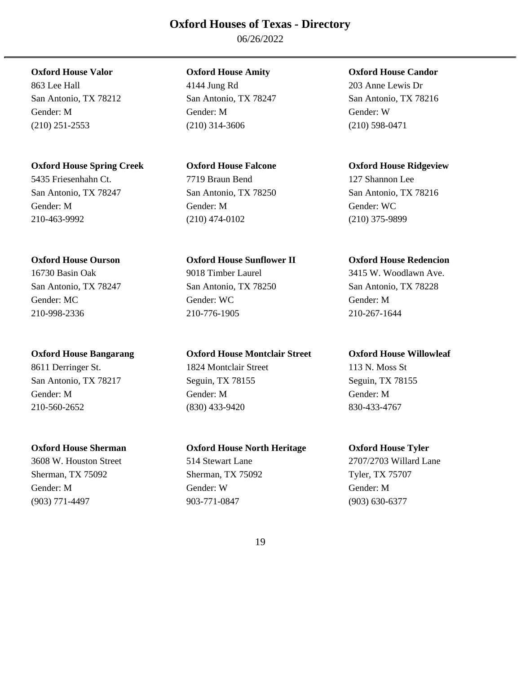06/26/2022

San Antonio, TX 78212 San Antonio, TX 78247 San Antonio, TX 78216 Gender: M Gender: M Gender: W (210) 251-2553 (210) 314-3606 (210) 598-0471

### **Oxford House Spring Creek Oxford House Falcone Oxford House Ridgeview**

5435 Friesenhahn Ct. 7719 Braun Bend 127 Shannon Lee San Antonio, TX 78247 San Antonio, TX 78250 San Antonio, TX 78216 Gender: M Gender: M Gender: WC 210-463-9992 (210) 474-0102 (210) 375-9899

3608 W. Houston Street 514 Stewart Lane 2707/2703 Willard Lane Sherman, TX 75092 Sherman, TX 75092 Tyler, TX 75707 Gender: M Gender: W Gender: M (903) 771-4497 903-771-0847 (903) 630-6377

863 Lee Hall 4144 Jung Rd 203 Anne Lewis Dr

16730 Basin Oak 9018 Timber Laurel 3415 W. Woodlawn Ave. San Antonio, TX 78247 San Antonio, TX 78250 San Antonio, TX 78228 Gender: MC Gender: WC Gender: WC Gender: M 210-998-2336 210-776-1905 210-267-1644

### **Oxford House Bangarang Oxford House Montclair Street Oxford House Willowleaf**

8611 Derringer St. 1824 Montclair Street 113 N. Moss St San Antonio, TX 78217 Seguin, TX 78155 Seguin, TX 78155 Gender: M Gender: M Gender: M 210-560-2652 (830) 433-9420 830-433-4767

### **Oxford House Sherman Oxford House North Heritage Oxford House Tyler**

### **Oxford House Valor Oxford House Amity Oxford House Candor**

### **Oxford House Ourson Oxford House Sunflower II Oxford House Redencion**